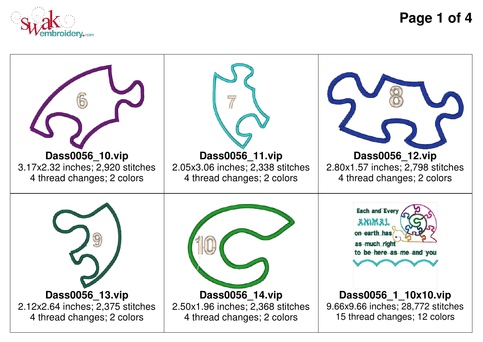

**Page 1 of 4**

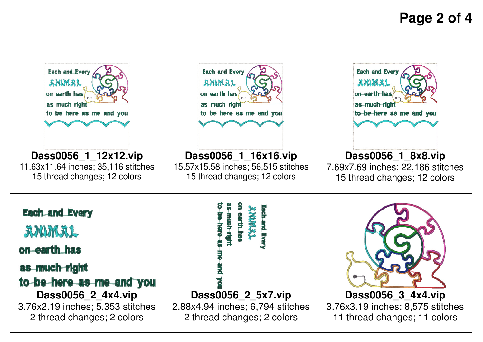## **Page 2 of 4**

| Each and Every                                                                                                                                                                     | <b>Each and Every</b>                                                                                                 | Each and Every                                                                         |
|------------------------------------------------------------------------------------------------------------------------------------------------------------------------------------|-----------------------------------------------------------------------------------------------------------------------|----------------------------------------------------------------------------------------|
| anmal                                                                                                                                                                              | anmal                                                                                                                 | ammal                                                                                  |
| on earth has                                                                                                                                                                       | on earth has                                                                                                          | on earth has                                                                           |
| as much right                                                                                                                                                                      | as much right                                                                                                         | as much right                                                                          |
| to be here as me and you                                                                                                                                                           | to be here as me and you                                                                                              | to be here as me and you                                                               |
| Dass0056_1_12x12.vip                                                                                                                                                               | Dass0056 1 16x16.vip                                                                                                  | Dass0056 1 8x8.vip                                                                     |
| 11.63x11.64 inches; 35,116 stitches                                                                                                                                                | 15.57x15.58 inches; 56,515 stitches                                                                                   | 7.69x7.69 inches; 22,186 stitches                                                      |
| 15 thread changes; 12 colors                                                                                                                                                       | 15 thread changes; 12 colors                                                                                          | 15 thread changes; 12 colors                                                           |
| <b>Each and Every</b><br>双肌风灰<br>on earth has<br>as much right<br>to be here as me and you<br>Dass0056 2 4x4.vip<br>3.76x2.19 inches; 5,353 stitches<br>2 thread changes; 2 colors | CONNIN<br>nuch rig<br>arth ha<br>Dass0056 2 5x7.vip<br>2.88x4.94 inches; 6,794 stitches<br>2 thread changes; 2 colors | Dass0056 3 4x4.vip<br>3.76x3.19 inches; 8,575 stitches<br>11 thread changes; 11 colors |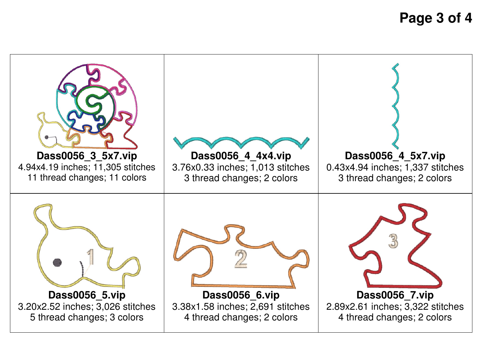**Page 3 of 4**